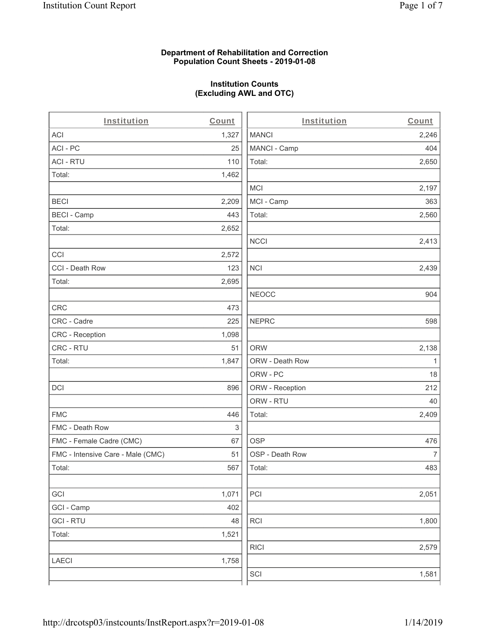## **Department of Rehabilitation and Correction Population Count Sheets - 2019-01-08**

# **Institution Counts (Excluding AWL and OTC)**

| Institution                       | Count | Institution     | Count                    |
|-----------------------------------|-------|-----------------|--------------------------|
| <b>ACI</b>                        | 1,327 | <b>MANCI</b>    | 2,246                    |
| ACI - PC                          | 25    | MANCI - Camp    | 404                      |
| <b>ACI - RTU</b>                  | 110   | Total:          | 2,650                    |
| Total:                            | 1,462 |                 |                          |
|                                   |       | <b>MCI</b>      | 2,197                    |
| <b>BECI</b>                       | 2,209 | MCI - Camp      | 363                      |
| <b>BECI - Camp</b>                | 443   | Total:          | 2,560                    |
| Total:                            | 2,652 |                 |                          |
|                                   |       | <b>NCCI</b>     | 2,413                    |
| CCI                               | 2,572 |                 |                          |
| CCI - Death Row                   | 123   | <b>NCI</b>      | 2,439                    |
| Total:                            | 2,695 |                 |                          |
|                                   |       | <b>NEOCC</b>    | 904                      |
| <b>CRC</b>                        | 473   |                 |                          |
| CRC - Cadre                       | 225   | <b>NEPRC</b>    | 598                      |
| CRC - Reception                   | 1,098 |                 |                          |
| CRC - RTU                         | 51    | <b>ORW</b>      | 2,138                    |
| Total:                            | 1,847 | ORW - Death Row | 1                        |
|                                   |       | ORW - PC        | 18                       |
| <b>DCI</b>                        | 896   | ORW - Reception | 212                      |
|                                   |       | ORW - RTU       | 40                       |
| <b>FMC</b>                        | 446   | Total:          | 2,409                    |
| FMC - Death Row                   | 3     |                 |                          |
| FMC - Female Cadre (CMC)          | 67    | <b>OSP</b>      | 476                      |
| FMC - Intensive Care - Male (CMC) | 51    | OSP - Death Row | $\overline{\mathcal{I}}$ |
| Total:                            | 567   | Total:          | 483                      |
|                                   |       |                 |                          |
| GCI                               | 1,071 | PCI             | 2,051                    |
| GCI - Camp                        | 402   |                 |                          |
| <b>GCI-RTU</b>                    | 48    | <b>RCI</b>      | 1,800                    |
| Total:                            | 1,521 |                 |                          |
|                                   |       | <b>RICI</b>     | 2,579                    |
| <b>LAECI</b>                      | 1,758 |                 |                          |
|                                   |       | SCI             | 1,581                    |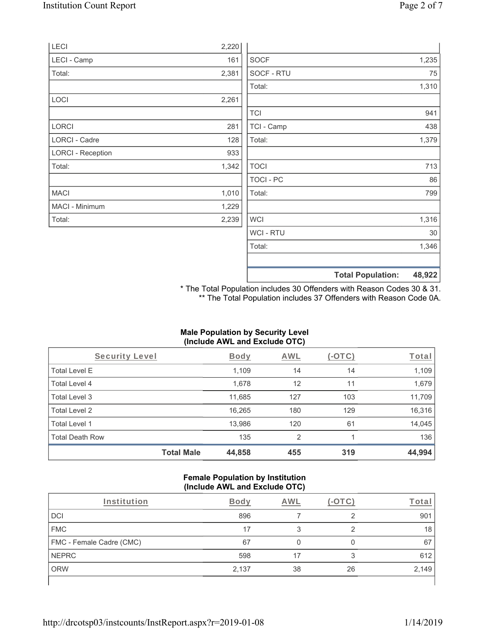|                          |       |                  | <b>Total Population:</b> | 48,922 |
|--------------------------|-------|------------------|--------------------------|--------|
|                          |       |                  |                          |        |
|                          |       | Total:           |                          | 1,346  |
|                          |       | WCI - RTU        |                          | 30     |
| Total:                   | 2,239 | <b>WCI</b>       |                          | 1,316  |
| MACI - Minimum           | 1,229 |                  |                          |        |
| <b>MACI</b>              | 1,010 | Total:           |                          | 799    |
|                          |       | <b>TOCI - PC</b> |                          | 86     |
| Total:                   | 1,342 | <b>TOCI</b>      |                          | 713    |
| <b>LORCI - Reception</b> | 933   |                  |                          |        |
| LORCI - Cadre            | 128   | Total:           |                          | 1,379  |
| <b>LORCI</b>             | 281   | TCI - Camp       |                          | 438    |
|                          |       | <b>TCI</b>       |                          | 941    |
| LOCI                     | 2,261 |                  |                          |        |
|                          |       | Total:           |                          | 1,310  |
| Total:                   | 2,381 | SOCF - RTU       |                          | 75     |
| LECI - Camp              | 161   | <b>SOCF</b>      |                          | 1,235  |
| <b>LECI</b>              | 2,220 |                  |                          |        |

\* The Total Population includes 30 Offenders with Reason Codes 30 & 31. \*\* The Total Population includes 37 Offenders with Reason Code 0A.

## **Male Population by Security Level (Include AWL and Exclude OTC)**

| Security Level         |                   | <b>Body</b> | AWL            | (-OTC) | Total  |
|------------------------|-------------------|-------------|----------------|--------|--------|
| <b>Total Level E</b>   |                   | 1,109       | 14             | 14     | 1,109  |
| Total Level 4          |                   | 1,678       | 12             | 11     | 1,679  |
| Total Level 3          |                   | 11,685      | 127            | 103    | 11,709 |
| Total Level 2          |                   | 16,265      | 180            | 129    | 16,316 |
| Total Level 1          |                   | 13,986      | 120            | 61     | 14,045 |
| <b>Total Death Row</b> |                   | 135         | $\overline{2}$ |        | 136    |
|                        | <b>Total Male</b> | 44,858      | 455            | 319    | 44,994 |

#### **Female Population by Institution (Include AWL and Exclude OTC)**

| Institution              | <b>Body</b> | AWL |    | <u>rotar</u> |
|--------------------------|-------------|-----|----|--------------|
| DCI                      | 896         |     | ◠  | 901          |
| <b>FMC</b>               | 17          |     |    | 18           |
| FMC - Female Cadre (CMC) | 67          |     |    | 67           |
| <b>NEPRC</b>             | 598         |     | 3  | 612          |
| <b>ORW</b>               | 2,137       | 38  | 26 | 2,149        |
|                          |             |     |    |              |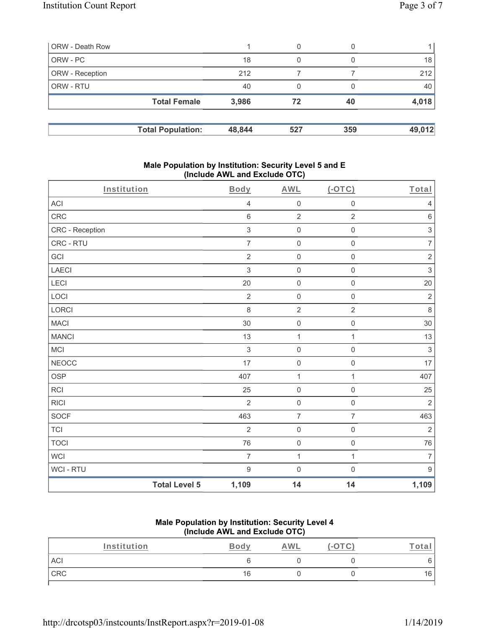| ORW - Death Row          |        | 0   | 0   |        |
|--------------------------|--------|-----|-----|--------|
| ORW - PC                 | 18     | 0   |     | 18     |
| <b>ORW</b> - Reception   | 212    |     |     | 212    |
| <b>ORW - RTU</b>         | 40     | 0   |     | 40     |
| <b>Total Female</b>      | 3,986  | 72  | 40  | 4,018  |
| <b>Total Population:</b> | 48,844 | 527 | 359 | 49,012 |

#### **Male Population by Institution: Security Level 5 and E (Include AWL and Exclude OTC)**

| Institution     |                      | <b>Body</b>      | <b>AWL</b>          | $($ -OTC $)$        | Total                     |
|-----------------|----------------------|------------------|---------------------|---------------------|---------------------------|
| <b>ACI</b>      |                      | $\overline{4}$   | $\mathsf{O}\xspace$ | $\mathbf 0$         | $\overline{4}$            |
| CRC             |                      | $6\,$            | $\overline{2}$      | $\overline{2}$      | $\,6\,$                   |
| CRC - Reception |                      | $\sqrt{3}$       | $\mathsf{O}\xspace$ | $\mathsf 0$         | $\ensuremath{\mathsf{3}}$ |
| CRC - RTU       |                      | $\overline{7}$   | $\mathsf{O}\xspace$ | 0                   | $\overline{7}$            |
| GCI             |                      | $\overline{2}$   | $\mathsf{O}\xspace$ | $\mathbf 0$         | $\sqrt{2}$                |
| LAECI           |                      | $\sqrt{3}$       | $\mathsf{O}\xspace$ | $\mathsf{O}\xspace$ | $\mathsf 3$               |
| LECI            |                      | 20               | $\mathbf 0$         | $\mathbf 0$         | 20                        |
| LOCI            |                      | $\overline{2}$   | $\mathsf{O}\xspace$ | $\mathsf{O}\xspace$ | $\sqrt{2}$                |
| LORCI           |                      | $\,8\,$          | $\sqrt{2}$          | $\overline{c}$      | $\,8\,$                   |
| <b>MACI</b>     |                      | 30               | $\mathsf{O}\xspace$ | $\mathbf 0$         | 30                        |
| <b>MANCI</b>    |                      | 13               | $\mathbf{1}$        | $\mathbf{1}$        | 13                        |
| MCI             |                      | $\sqrt{3}$       | $\mathbf 0$         | $\mathbf 0$         | $\sqrt{3}$                |
| <b>NEOCC</b>    |                      | 17               | $\mathsf{O}\xspace$ | $\mathsf{O}\xspace$ | 17                        |
| OSP             |                      | 407              | $\mathbf{1}$        | $\mathbf{1}$        | 407                       |
| <b>RCI</b>      |                      | 25               | $\mathbf 0$         | $\mathbf 0$         | 25                        |
| <b>RICI</b>     |                      | $\overline{2}$   | $\mathsf{O}\xspace$ | $\mathsf{O}\xspace$ | $\overline{2}$            |
| SOCF            |                      | 463              | $\overline{7}$      | $\overline{7}$      | 463                       |
| <b>TCI</b>      |                      | $\overline{2}$   | $\mathsf{O}\xspace$ | $\mathbf 0$         | $\overline{2}$            |
| <b>TOCI</b>     |                      | 76               | $\mathsf{O}\xspace$ | $\mathsf{O}\xspace$ | 76                        |
| WCI             |                      | $\overline{7}$   | $\mathbf{1}$        | $\mathbf{1}$        | $\overline{7}$            |
| WCI - RTU       |                      | $\boldsymbol{9}$ | $\mathbf 0$         | $\mathsf{O}\xspace$ | $9\,$                     |
|                 | <b>Total Level 5</b> | 1,109            | 14                  | 14                  | 1,109                     |

## **Male Population by Institution: Security Level 4 (Include AWL and Exclude OTC)**

| Institution | Body | <u>AWL</u> | $\hspace{0.1mm}-\hspace{0.1mm}$ | <u>. otal</u> |
|-------------|------|------------|---------------------------------|---------------|
| ACI         |      |            |                                 |               |
| CRC         | 16   |            |                                 | 16            |
|             |      |            |                                 |               |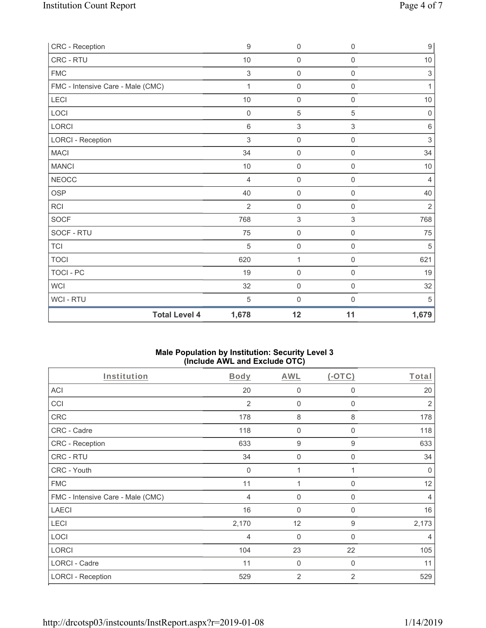| CRC - Reception                   | $\boldsymbol{9}$ | 0                   | $\mathsf{O}\xspace$ | $\boldsymbol{9}$ |
|-----------------------------------|------------------|---------------------|---------------------|------------------|
| CRC - RTU                         | 10               | 0                   | $\mathsf{O}\xspace$ | $10$             |
| <b>FMC</b>                        | $\mathfrak{S}$   | $\mathsf{O}\xspace$ | $\mathsf{O}\xspace$ | $\sqrt{3}$       |
| FMC - Intensive Care - Male (CMC) | 1                | 0                   | $\mathsf{O}\xspace$ | $\mathbf{1}$     |
| LECI                              | 10               | $\mathsf{O}\xspace$ | 0                   | $10$             |
| LOCI                              | $\mathbf 0$      | 5                   | 5                   | $\mathbf 0$      |
| <b>LORCI</b>                      | 6                | $\sqrt{3}$          | 3                   | $\,6\,$          |
| <b>LORCI - Reception</b>          | $\mathfrak{S}$   | 0                   | $\mathsf{O}\xspace$ | $\sqrt{3}$       |
| <b>MACI</b>                       | 34               | $\mathsf{O}\xspace$ | 0                   | 34               |
| <b>MANCI</b>                      | 10               | 0                   | $\boldsymbol{0}$    | 10               |
| <b>NEOCC</b>                      | $\overline{4}$   | 0                   | $\mathbf 0$         | $\overline{4}$   |
| OSP                               | 40               | 0                   | $\mathsf{O}\xspace$ | 40               |
| RCI                               | $\overline{2}$   | $\boldsymbol{0}$    | $\mathsf{O}\xspace$ | $\sqrt{2}$       |
| <b>SOCF</b>                       | 768              | 3                   | 3                   | 768              |
| SOCF - RTU                        | 75               | $\boldsymbol{0}$    | $\mathbf 0$         | 75               |
| <b>TCI</b>                        | 5                | $\mathsf{O}\xspace$ | $\mathsf{O}\xspace$ | 5                |
| <b>TOCI</b>                       | 620              | $\mathbf 1$         | $\mathsf{O}\xspace$ | 621              |
| TOCI - PC                         | 19               | $\mathsf{O}\xspace$ | 0                   | 19               |
| <b>WCI</b>                        | 32               | $\mathsf{O}\xspace$ | $\mathsf{O}\xspace$ | 32               |
| WCI - RTU                         | 5                | 0                   | $\mathbf 0$         | 5                |
| <b>Total Level 4</b>              | 1,678            | 12                  | 11                  | 1,679            |

## **Male Population by Institution: Security Level 3 (Include AWL and Exclude OTC)**

| Institution                       | <b>Body</b> | <b>AWL</b>     | (OTC)          | Total       |
|-----------------------------------|-------------|----------------|----------------|-------------|
| ACI                               | 20          | $\mathbf 0$    | 0              | 20          |
| CCI                               | 2           | 0              | 0              | 2           |
| CRC                               | 178         | 8              | 8              | 178         |
| CRC - Cadre                       | 118         | 0              | $\mathbf{0}$   | 118         |
| CRC - Reception                   | 633         | 9              | 9              | 633         |
| CRC - RTU                         | 34          | 0              | 0              | 34          |
| CRC - Youth                       | $\Omega$    | 1              |                | $\mathbf 0$ |
| <b>FMC</b>                        | 11          | 1              | 0              | 12          |
| FMC - Intensive Care - Male (CMC) | 4           | 0              | 0              | 4           |
| <b>LAECI</b>                      | 16          | 0              | 0              | 16          |
| LECI                              | 2,170       | 12             | 9              | 2,173       |
| LOCI                              | 4           | 0              | $\mathbf{0}$   | 4           |
| <b>LORCI</b>                      | 104         | 23             | 22             | 105         |
| LORCI - Cadre                     | 11          | $\mathbf 0$    | 0              | 11          |
| <b>LORCI - Reception</b>          | 529         | $\overline{2}$ | $\overline{2}$ | 529         |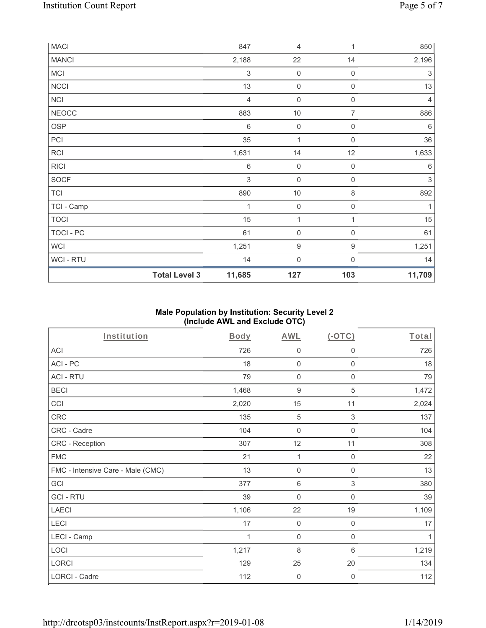| <b>MACI</b>  |                      | 847            | 4                   | 1                   | 850                       |
|--------------|----------------------|----------------|---------------------|---------------------|---------------------------|
| <b>MANCI</b> |                      | 2,188          | 22                  | 14                  | 2,196                     |
| MCI          |                      | $\sqrt{3}$     | $\mathbf 0$         | $\mathbf 0$         | $\ensuremath{\mathsf{3}}$ |
| <b>NCCI</b>  |                      | 13             | $\mathsf{O}\xspace$ | $\mathsf{O}\xspace$ | 13                        |
| NCI          |                      | $\overline{4}$ | $\mathsf{O}\xspace$ | $\mathsf{O}\xspace$ | $\overline{4}$            |
| <b>NEOCC</b> |                      | 883            | $10$                | $\overline{7}$      | 886                       |
| OSP          |                      | 6              | $\mathbf 0$         | 0                   | 6                         |
| PCI          |                      | 35             | $\mathbf{1}$        | $\mathbf 0$         | 36                        |
| RCI          |                      | 1,631          | 14                  | 12                  | 1,633                     |
| <b>RICI</b>  |                      | $\,6\,$        | $\mathbf 0$         | $\mathsf{O}\xspace$ | $6\,$                     |
| SOCF         |                      | $\mathfrak{Z}$ | $\mathbf 0$         | $\boldsymbol{0}$    | $\ensuremath{\mathsf{3}}$ |
| <b>TCI</b>   |                      | 890            | $10$                | $\,8\,$             | 892                       |
| TCI - Camp   |                      | 1              | $\mathbf 0$         | $\mathsf{O}\xspace$ | 1                         |
| <b>TOCI</b>  |                      | 15             | 1                   | 1                   | 15                        |
| TOCI - PC    |                      | 61             | $\mathbf 0$         | $\,0\,$             | 61                        |
| WCI          |                      | 1,251          | $\boldsymbol{9}$    | $\boldsymbol{9}$    | 1,251                     |
| WCI - RTU    |                      | 14             | $\mathbf 0$         | 0                   | 14                        |
|              | <b>Total Level 3</b> | 11,685         | 127                 | 103                 | 11,709                    |

## **Male Population by Institution: Security Level 2 (Include AWL and Exclude OTC)**

| <b>Institution</b>                | <b>Body</b> | <b>AWL</b>          | (OTC)                     | Total |
|-----------------------------------|-------------|---------------------|---------------------------|-------|
| <b>ACI</b>                        | 726         | $\mathbf 0$         | $\mathbf 0$               | 726   |
| ACI-PC                            | 18          | $\mathbf 0$         | $\mathbf 0$               | 18    |
| <b>ACI - RTU</b>                  | 79          | $\mathbf 0$         | $\mathbf 0$               | 79    |
| <b>BECI</b>                       | 1,468       | $\boldsymbol{9}$    | $\sqrt{5}$                | 1,472 |
| CCI                               | 2,020       | 15                  | 11                        | 2,024 |
| CRC                               | 135         | 5                   | $\sqrt{3}$                | 137   |
| CRC - Cadre                       | 104         | $\mathsf{O}\xspace$ | $\mathbf 0$               | 104   |
| CRC - Reception                   | 307         | 12                  | 11                        | 308   |
| <b>FMC</b>                        | 21          | 1                   | $\mathsf{O}\xspace$       | 22    |
| FMC - Intensive Care - Male (CMC) | 13          | $\mathbf 0$         | $\mathsf{O}\xspace$       | 13    |
| GCI                               | 377         | $\,6\,$             | $\ensuremath{\mathsf{3}}$ | 380   |
| <b>GCI-RTU</b>                    | 39          | $\mathbf 0$         | $\boldsymbol{0}$          | 39    |
| <b>LAECI</b>                      | 1,106       | 22                  | 19                        | 1,109 |
| LECI                              | 17          | $\mathbf 0$         | 0                         | 17    |
| LECI - Camp                       | 1           | $\mathbf 0$         | $\boldsymbol{0}$          | 1     |
| LOCI                              | 1,217       | 8                   | 6                         | 1,219 |
| LORCI                             | 129         | 25                  | 20                        | 134   |
| LORCI - Cadre                     | 112         | $\mathbf 0$         | $\mathbf 0$               | 112   |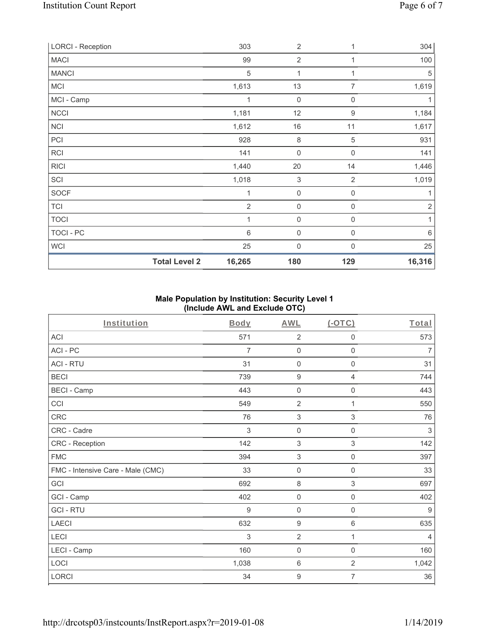| <b>LORCI - Reception</b> |                      | 303            | $\overline{2}$            | 1                | 304        |
|--------------------------|----------------------|----------------|---------------------------|------------------|------------|
| <b>MACI</b>              |                      | 99             | $\overline{2}$            |                  | 100        |
| <b>MANCI</b>             |                      | $\sqrt{5}$     | 1                         | 1                | 5          |
| <b>MCI</b>               |                      | 1,613          | 13                        | 7                | 1,619      |
| MCI - Camp               |                      | 1              | $\mathbf 0$               | $\mathbf{0}$     |            |
| NCCI                     |                      | 1,181          | 12                        | $\boldsymbol{9}$ | 1,184      |
| <b>NCI</b>               |                      | 1,612          | 16                        | 11               | 1,617      |
| PCI                      |                      | 928            | 8                         | $\mathbf 5$      | 931        |
| RCI                      |                      | 141            | $\boldsymbol{0}$          | $\mathbf 0$      | 141        |
| <b>RICI</b>              |                      | 1,440          | 20                        | 14               | 1,446      |
| SCI                      |                      | 1,018          | $\ensuremath{\mathsf{3}}$ | $\overline{2}$   | 1,019      |
| <b>SOCF</b>              |                      | 1              | $\boldsymbol{0}$          | 0                | 1          |
| <b>TCI</b>               |                      | $\overline{2}$ | $\mathsf{O}\xspace$       | $\mathbf 0$      | $\sqrt{2}$ |
| <b>TOCI</b>              |                      | 1              | $\boldsymbol{0}$          | 0                | 1          |
| TOCI - PC                |                      | $\,6$          | 0                         | $\mathbf 0$      | $\,6\,$    |
| WCI                      |                      | 25             | $\mathbf 0$               | $\Omega$         | 25         |
|                          | <b>Total Level 2</b> | 16,265         | 180                       | 129              | 16,316     |

# **Male Population by Institution: Security Level 1 (Include AWL and Exclude OTC)**

| Institution                       | <b>Body</b> | <b>AWL</b>          | $($ -OTC $)$        | Total          |
|-----------------------------------|-------------|---------------------|---------------------|----------------|
| <b>ACI</b>                        | 571         | $\overline{2}$      | 0                   | 573            |
| ACI-PC                            | 7           | $\mathbf 0$         | 0                   | $\overline{7}$ |
| <b>ACI - RTU</b>                  | 31          | $\mathsf{O}\xspace$ | $\mathsf{O}\xspace$ | 31             |
| <b>BECI</b>                       | 739         | $\boldsymbol{9}$    | 4                   | 744            |
| <b>BECI - Camp</b>                | 443         | $\mathbf 0$         | 0                   | 443            |
| CCI                               | 549         | $\overline{2}$      | 1                   | 550            |
| CRC                               | 76          | $\sqrt{3}$          | 3                   | 76             |
| CRC - Cadre                       | 3           | $\mathbf 0$         | $\mathbf 0$         | 3              |
| CRC - Reception                   | 142         | $\sqrt{3}$          | 3                   | 142            |
| <b>FMC</b>                        | 394         | $\sqrt{3}$          | $\mathsf{O}\xspace$ | 397            |
| FMC - Intensive Care - Male (CMC) | 33          | $\mathsf 0$         | 0                   | 33             |
| GCI                               | 692         | $\,8\,$             | $\,$ 3 $\,$         | 697            |
| GCI - Camp                        | 402         | $\mathsf{O}\xspace$ | 0                   | 402            |
| <b>GCI-RTU</b>                    | 9           | $\mathbf 0$         | 0                   | $9$            |
| <b>LAECI</b>                      | 632         | $\boldsymbol{9}$    | 6                   | 635            |
| LECI                              | 3           | $\overline{2}$      | 1                   | $\overline{4}$ |
| LECI - Camp                       | 160         | $\mathsf 0$         | $\mathbf 0$         | 160            |
| LOCI                              | 1,038       | $\,6\,$             | $\overline{2}$      | 1,042          |
| LORCI                             | 34          | $\boldsymbol{9}$    | 7                   | 36             |